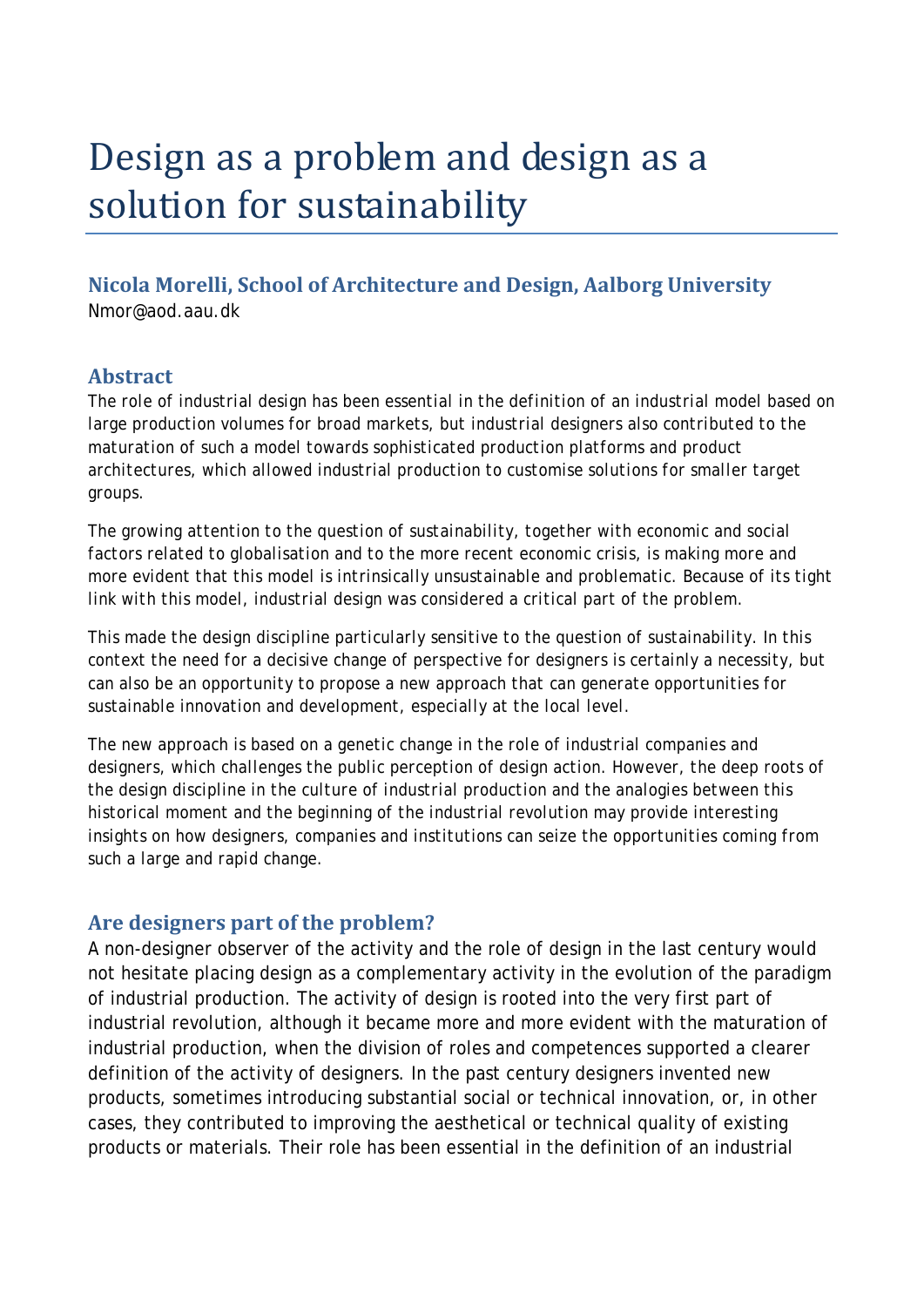# Design as a problem and design as a solution for sustainability

# **Nicola Morelli, School of Architecture and Design, Aalborg University**

Nmor@aod.aau.dk

#### **Abstract**

*The role of industrial design has been essential in the definition of an industrial model based on large production volumes for broad markets, but industrial designers also contributed to the maturation of such a model towards sophisticated production platforms and product architectures, which allowed industrial production to customise solutions for smaller target groups.* 

*The growing attention to the question of sustainability, together with economic and social factors related to globalisation and to the more recent economic crisis, is making more and more evident that this model is intrinsically unsustainable and problematic. Because of its tight link with this model, industrial design was considered a critical part of the problem.* 

*This made the design discipline particularly sensitive to the question of sustainability. In this context the need for a decisive change of perspective for designers is certainly a necessity, but can also be an opportunity to propose a new approach that can generate opportunities for sustainable innovation and development, especially at the local level.* 

*The new approach is based on a genetic change in the role of industrial companies and designers, which challenges the public perception of design action. However, the deep roots of the design discipline in the culture of industrial production and the analogies between this historical moment and the beginning of the industrial revolution may provide interesting insights on how designers, companies and institutions can seize the opportunities coming from such a large and rapid change.* 

#### **Are designers part of the problem?**

A non-designer observer of the activity and the role of design in the last century would not hesitate placing design as a complementary activity in the evolution of the paradigm of industrial production. The activity of design is rooted into the very first part of industrial revolution, although it became more and more evident with the maturation of industrial production, when the division of roles and competences supported a clearer definition of the activity of designers. In the past century designers invented new products, sometimes introducing substantial social or technical innovation, or, in other cases, they contributed to improving the aesthetical or technical quality of existing products or materials. Their role has been essential in the definition of an industrial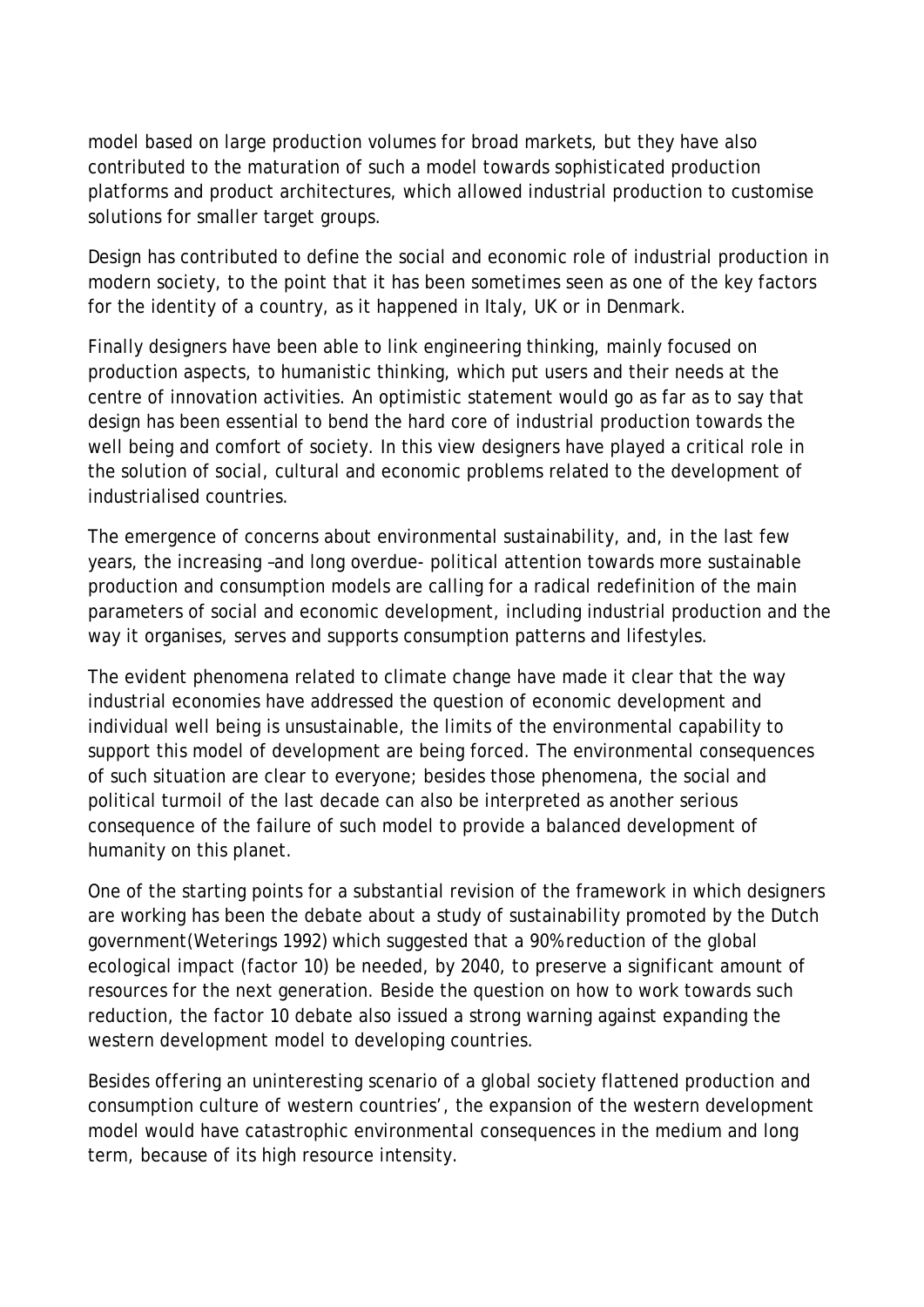model based on large production volumes for broad markets, but they have also contributed to the maturation of such a model towards sophisticated production platforms and product architectures, which allowed industrial production to customise solutions for smaller target groups.

Design has contributed to define the social and economic role of industrial production in modern society, to the point that it has been sometimes seen as one of the key factors for the identity of a country, as it happened in Italy, UK or in Denmark.

Finally designers have been able to link engineering thinking, mainly focused on production aspects, to humanistic thinking, which put users and their needs at the centre of innovation activities. An optimistic statement would go as far as to say that design has been essential to bend the hard core of industrial production towards the well being and comfort of society. In this view designers have played a critical role in the solution of social, cultural and economic problems related to the development of industrialised countries.

The emergence of concerns about environmental sustainability, and, in the last few years, the increasing –and long overdue- political attention towards more sustainable production and consumption models are calling for a radical redefinition of the main parameters of social and economic development, including industrial production and the way it organises, serves and supports consumption patterns and lifestyles.

The evident phenomena related to climate change have made it clear that the way industrial economies have addressed the question of economic development and individual well being is unsustainable, the limits of the environmental capability to support this model of development are being forced. The environmental consequences of such situation are clear to everyone; besides those phenomena, the social and political turmoil of the last decade can also be interpreted as another serious consequence of the failure of such model to provide a balanced development of humanity on this planet.

One of the starting points for a substantial revision of the framework in which designers are working has been the debate about a study of sustainability promoted by the Dutch government(Weterings 1992) which suggested that a 90% reduction of the global ecological impact (factor 10) be needed, by 2040, to preserve a significant amount of resources for the next generation. Beside the question on how to work towards such reduction, the factor 10 debate also issued a strong warning against expanding the western development model to developing countries.

Besides offering an uninteresting scenario of a global society flattened production and consumption culture of western countries', the expansion of the western development model would have catastrophic environmental consequences in the medium and long term, because of its high resource intensity.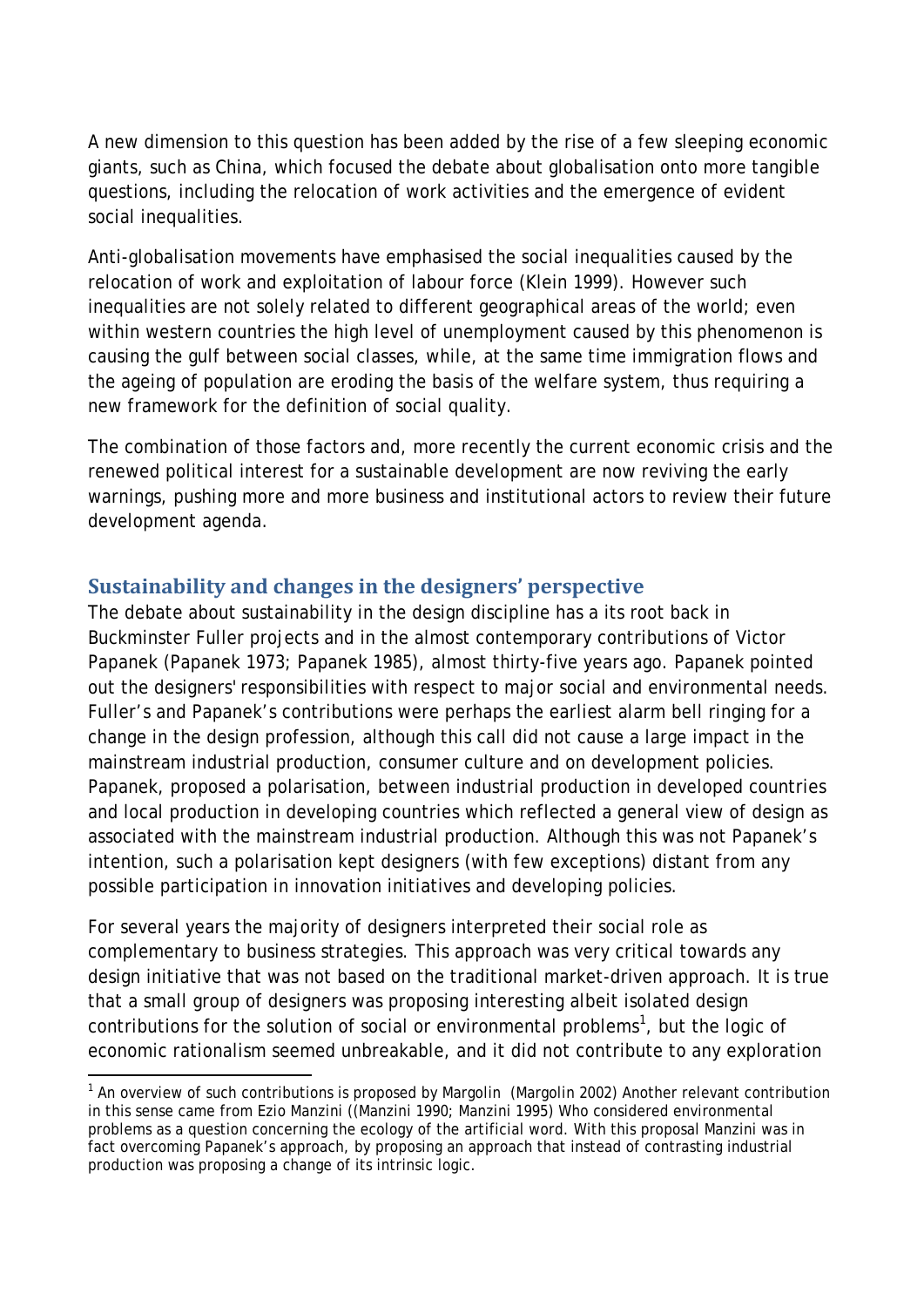A new dimension to this question has been added by the rise of a few sleeping economic giants, such as China, which focused the debate about globalisation onto more tangible questions, including the relocation of work activities and the emergence of evident social inequalities.

Anti-globalisation movements have emphasised the social inequalities caused by the relocation of work and exploitation of labour force (Klein 1999). However such inequalities are not solely related to different geographical areas of the world; even within western countries the high level of unemployment caused by this phenomenon is causing the gulf between social classes, while, at the same time immigration flows and the ageing of population are eroding the basis of the welfare system, thus requiring a new framework for the definition of social quality.

The combination of those factors and, more recently the current economic crisis and the renewed political interest for a sustainable development are now reviving the early warnings, pushing more and more business and institutional actors to review their future development agenda.

## **Sustainability and changes in the designers' perspective**

l

The debate about sustainability in the design discipline has a its root back in Buckminster Fuller projects and in the almost contemporary contributions of Victor Papanek (Papanek 1973; Papanek 1985), almost thirty-five years ago. Papanek pointed out the designers' responsibilities with respect to major social and environmental needs. Fuller's and Papanek's contributions were perhaps the earliest alarm bell ringing for a change in the design profession, although this call did not cause a large impact in the mainstream industrial production, consumer culture and on development policies. Papanek, proposed a polarisation, between industrial production in developed countries and local production in developing countries which reflected a general view of design as associated with the mainstream industrial production. Although this was not Papanek's intention, such a polarisation kept designers (with few exceptions) distant from any possible participation in innovation initiatives and developing policies.

For several years the majority of designers interpreted their social role as complementary to business strategies. This approach was very critical towards any design initiative that was not based on the traditional market-driven approach. It is true that a small group of designers was proposing interesting albeit isolated design contributions for the solution of social or environmental problems<sup>1</sup>, but the logic of economic rationalism seemed unbreakable, and it did not contribute to any exploration

<sup>&</sup>lt;sup>1</sup> An overview of such contributions is proposed by Margolin (Margolin 2002) Another relevant contribution in this sense came from Ezio Manzini ((Manzini 1990; Manzini 1995) Who considered environmental problems as a question concerning the ecology of the artificial word. With this proposal Manzini was in fact overcoming Papanek's approach, by proposing an approach that instead of contrasting industrial production was proposing a change of its intrinsic logic.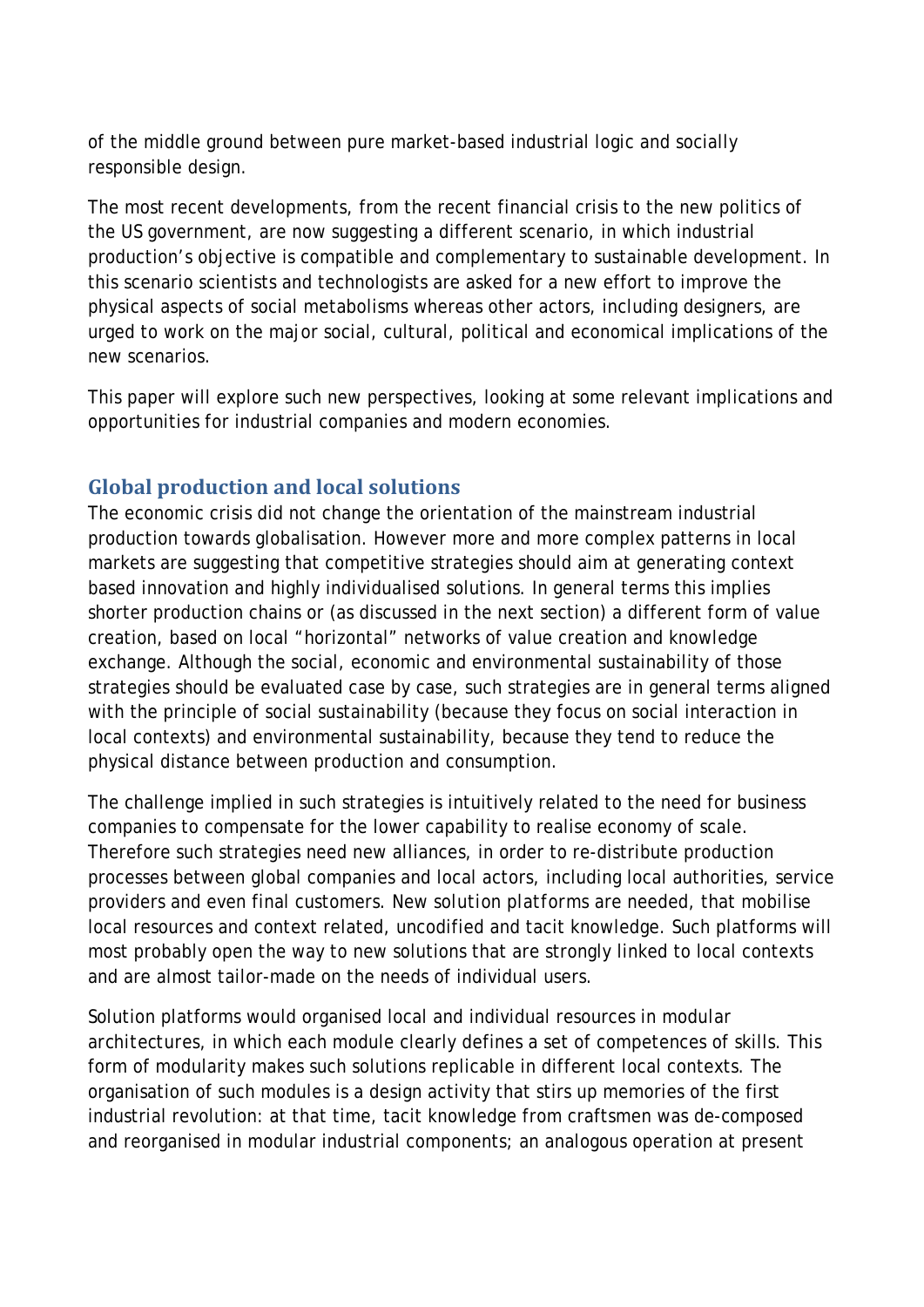of the middle ground between pure market-based industrial logic and socially responsible design.

The most recent developments, from the recent financial crisis to the new politics of the US government, are now suggesting a different scenario, in which industrial production's objective is compatible and complementary to sustainable development. In this scenario scientists and technologists are asked for a new effort to improve the physical aspects of social metabolisms whereas other actors, including designers, are urged to work on the major social, cultural, political and economical implications of the new scenarios.

This paper will explore such new perspectives, looking at some relevant implications and opportunities for industrial companies and modern economies.

## **Global production and local solutions**

The economic crisis did not change the orientation of the mainstream industrial production towards globalisation. However more and more complex patterns in local markets are suggesting that competitive strategies should aim at generating context based innovation and highly individualised solutions. In general terms this implies shorter production chains or (as discussed in the next section) a different form of value creation, based on local "horizontal" networks of value creation and knowledge exchange. Although the social, economic and environmental sustainability of those strategies should be evaluated case by case, such strategies are in general terms aligned with the principle of social sustainability (because they focus on social interaction in local contexts) and environmental sustainability, because they tend to reduce the physical distance between production and consumption.

The challenge implied in such strategies is intuitively related to the need for business companies to compensate for the lower capability to realise economy of scale. Therefore such strategies need new alliances, in order to re-distribute production processes between global companies and local actors, including local authorities, service providers and even final customers. New *solution platforms* are needed, that mobilise local resources and context related, uncodified and tacit knowledge. Such platforms will most probably open the way to new solutions that are strongly linked to local contexts and are almost tailor-made on the needs of individual users.

Solution platforms would organised local and individual resources in *modular architectures,* in which each module clearly defines a set of competences of skills. This form of modularity makes such solutions replicable in different local contexts. The organisation of such modules is a design activity that stirs up memories of the first industrial revolution: at that time, tacit knowledge from craftsmen was *de-composed* and reorganised in modular industrial components; an analogous operation at present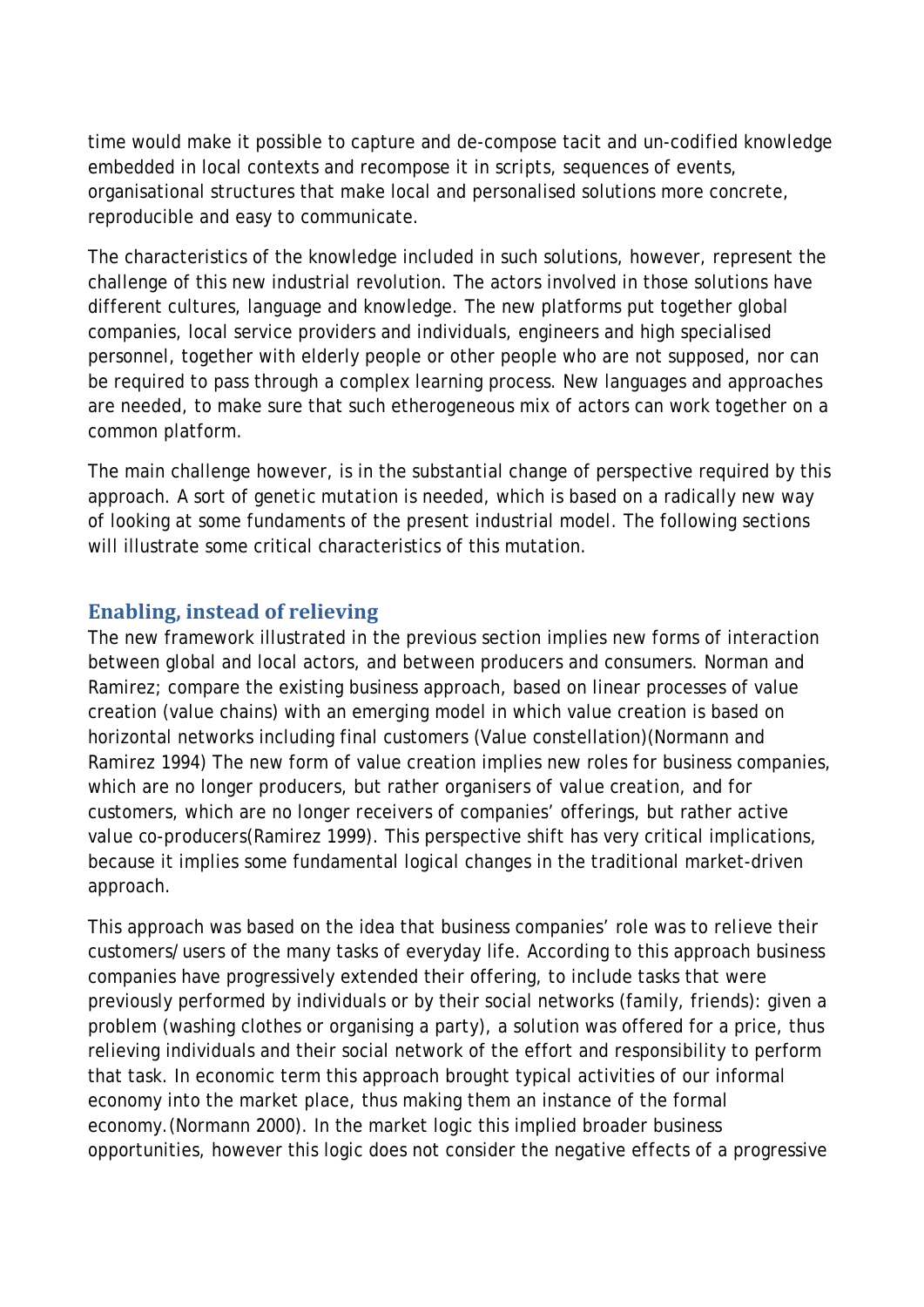time would make it possible to capture and de-compose tacit and un-codified knowledge embedded in local contexts and recompose it in *scripts*, sequences of events, organisational structures that make local and personalised solutions more concrete, reproducible and easy to communicate.

The characteristics of the knowledge included in such solutions, however, represent the challenge of this new industrial revolution. The actors involved in those solutions have different cultures, language and knowledge. The new platforms put together global companies, local service providers and individuals, engineers and high specialised personnel, together with elderly people or other people who are not supposed, nor can be required to pass through a complex learning process. New languages and approaches are needed, to make sure that such etherogeneous mix of actors can work together on a common platform.

The main challenge however, is in the substantial change of perspective required by this approach. A sort of *genetic mutation* is needed, which is based on a radically new way of looking at some fundaments of the present industrial model. The following sections will illustrate some critical characteristics of this mutation.

#### **Enabling, instead of relieving**

The new framework illustrated in the previous section implies new forms of interaction between global and local actors, and between producers and consumers. Norman and Ramirez; compare the existing business approach, based on linear processes of value creation (value chains) with an emerging model in which value creation is based on horizontal networks including final customers (Value constellation)(Normann and Ramirez 1994) The new form of value creation implies new roles for business companies, which are no longer *producers*, but rather *organisers of value creation*, and for customers, which are no longer *receivers* of companies' offerings, but rather active *value co-producers*(Ramirez 1999). This perspective shift has very critical implications, because it implies some fundamental logical changes in the traditional market-driven approach.

This approach was based on the idea that business companies' role was to *relieve* their customers/users of the many tasks of everyday life. According to this approach business companies have progressively extended their offering, to include tasks that were previously performed by individuals or by their social networks (family, friends): given a problem (washing clothes or organising a party), a solution was offered for a price, thus relieving individuals and their social network of the effort and responsibility to perform that task. In economic term this approach brought typical activities of our informal economy into the market place, thus making them an instance of the formal economy.(Normann 2000). In the market logic this implied broader business opportunities, however this logic does not consider the negative effects of a progressive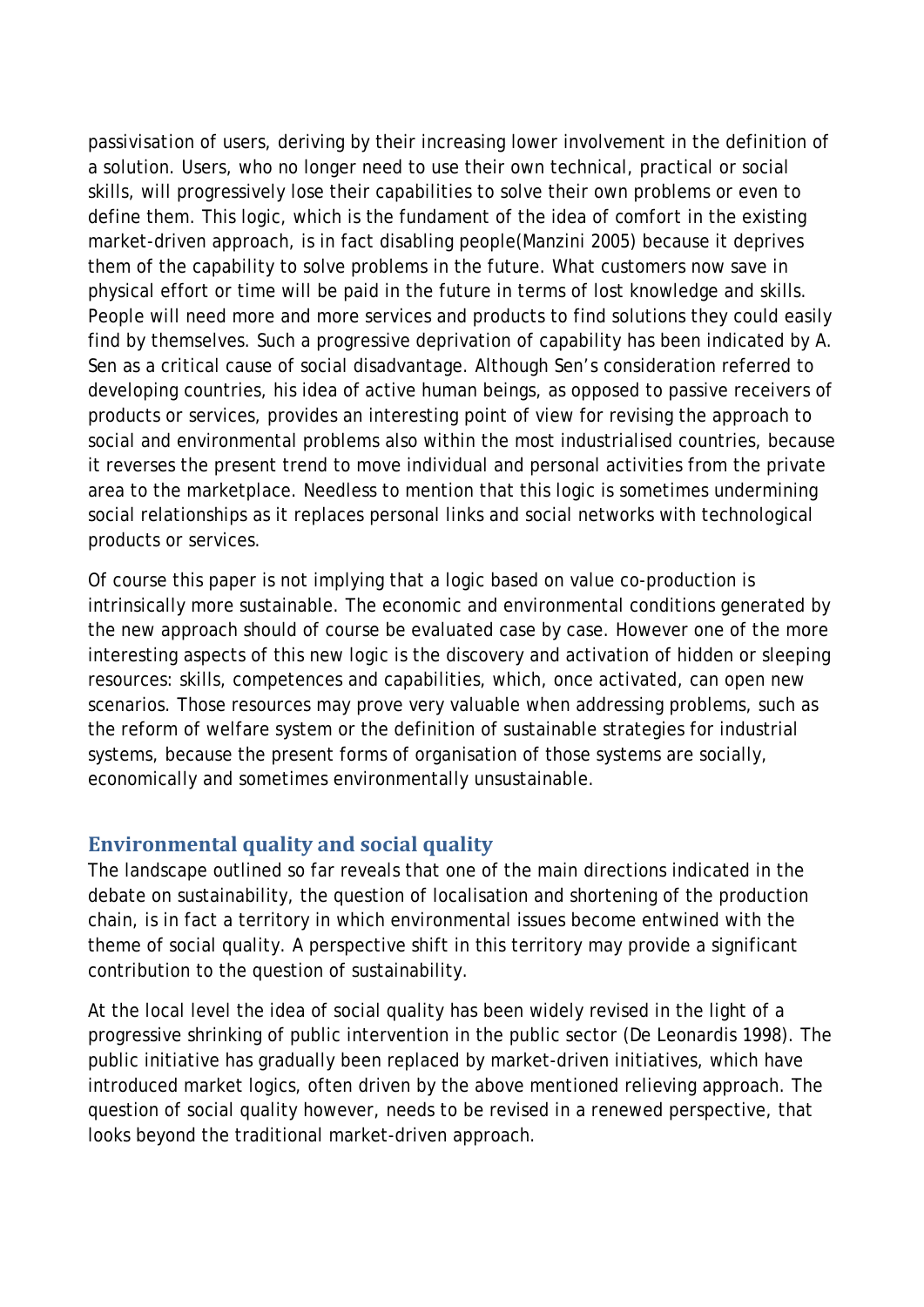*passivisation* of users, deriving by their increasing lower involvement in the definition of a solution. Users, who no longer need to use their own technical, practical or social skills, will progressively lose their capabilities to solve their own problems or even to define them. This logic, which is the fundament of the idea of *comfort* in the existing market-driven approach, is in fact disabling people(Manzini 2005) because it deprives them of the capability to solve problems in the future. What customers now save in physical effort or time will be paid in the future in terms of lost knowledge and skills. People will need more and more services and products to find solutions they could easily find by themselves. Such a progressive deprivation of capability has been indicated by A. Sen as a critical cause of social disadvantage. Although Sen's consideration referred to developing countries, his idea of active human beings, as opposed to passive receivers of products or services, provides an interesting point of view for revising the approach to social and environmental problems also within the most industrialised countries, because it reverses the present trend to move individual and personal activities from the private area to the marketplace. Needless to mention that this logic is sometimes undermining social relationships as it replaces personal links and social networks with technological products or services.

Of course this paper is not implying that a logic based on value co-production is intrinsically more sustainable. The economic and environmental conditions generated by the new approach should of course be evaluated case by case. However one of the more interesting aspects of this new logic is the discovery and activation of hidden or sleeping resources: skills, competences and capabilities, which, once activated, can open new scenarios. Those resources may prove very valuable when addressing problems, such as the reform of welfare system or the definition of sustainable strategies for industrial systems, because the present forms of organisation of those systems are socially, economically and sometimes environmentally unsustainable.

#### **Environmental quality and social quality**

The landscape outlined so far reveals that one of the main directions indicated in the debate on sustainability, the question of localisation and shortening of the production chain, is in fact a territory in which environmental issues become entwined with the theme of social quality. A perspective shift in this territory may provide a significant contribution to the question of sustainability.

At the local level the idea of social quality has been widely revised in the light of a progressive shrinking of public intervention in the public sector (De Leonardis 1998). The public initiative has gradually been replaced by market-driven initiatives, which have introduced market logics, often driven by the above mentioned relieving approach. The question of social quality however, needs to be revised in a renewed perspective, that looks beyond the traditional market-driven approach.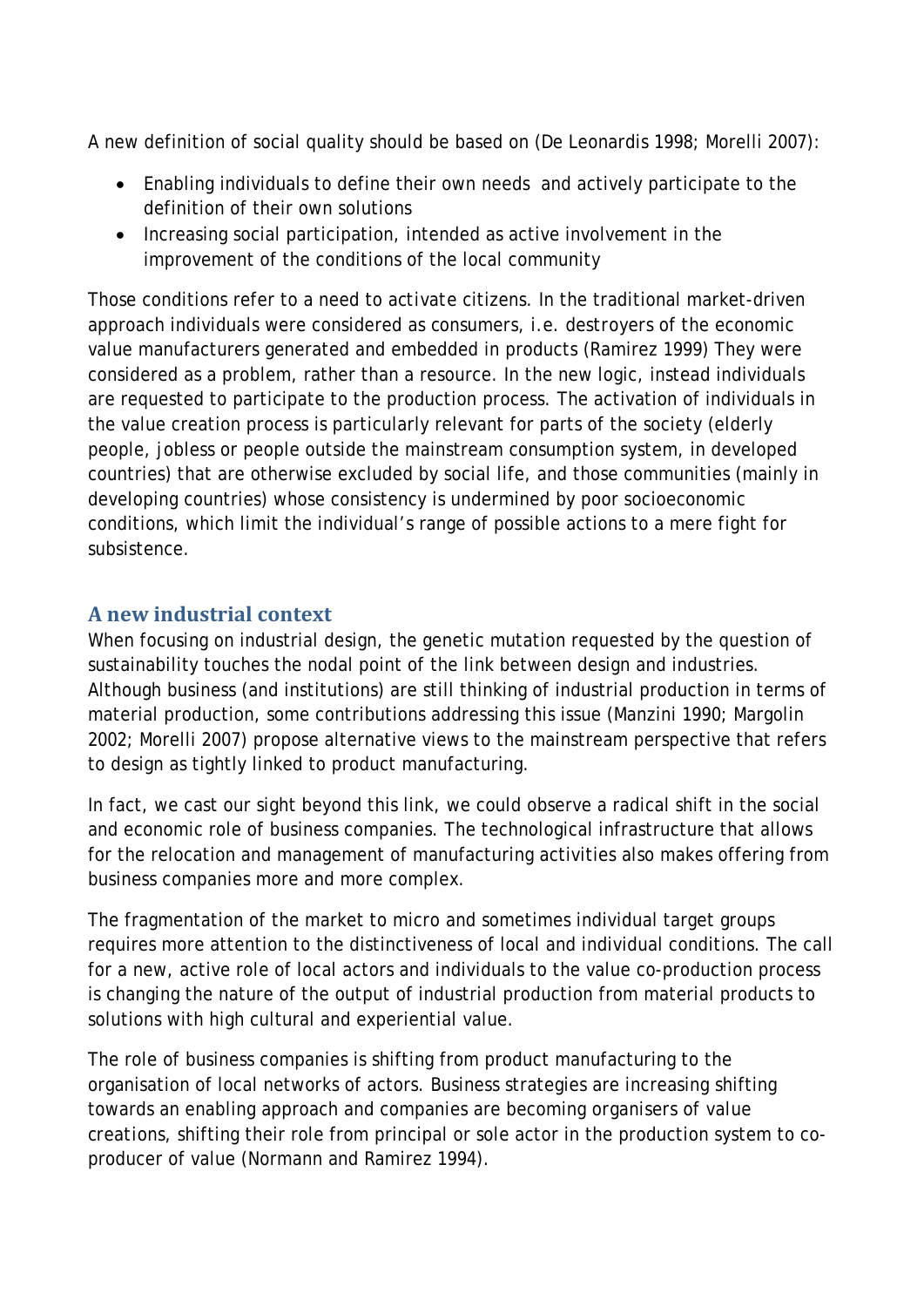A new definition of social quality should be based on (De Leonardis 1998; Morelli 2007):

- Enabling individuals to define their own needs and actively participate to the definition of their own solutions
- Increasing social participation, intended as active involvement in the improvement of the conditions of the local community

Those conditions refer to a need to *activate* citizens. In the traditional market-driven approach individuals were considered as *consumers*, i.e. *destroyers* of the economic value manufacturers generated and embedded in products (Ramirez 1999) They were considered as a problem, rather than a resource. In the new logic, instead individuals are requested to participate to the production process. The activation of individuals in the value creation process is particularly relevant for parts of the society (elderly people, jobless or people outside the mainstream consumption system, in developed countries) that are otherwise excluded by social life, and those communities (mainly in developing countries) whose consistency is undermined by poor socioeconomic conditions, which limit the individual's range of possible actions to a mere fight for subsistence.

## **A new industrial context**

When focusing on industrial design, the genetic mutation requested by the question of sustainability touches the nodal point of the link between design and industries. Although business (and institutions) are still thinking of industrial production in terms of material production, some contributions addressing this issue (Manzini 1990; Margolin 2002; Morelli 2007) propose alternative views to the mainstream perspective that refers to design as tightly linked to product manufacturing.

In fact, we cast our sight beyond this link, we could observe a radical shift in the social and economic role of business companies. The technological infrastructure that allows for the relocation and management of manufacturing activities also makes offering from business companies more and more complex.

The fragmentation of the market to micro and sometimes individual target groups requires more attention to the distinctiveness of local and individual conditions. The call for a new, active role of local actors and individuals to the value co-production process is changing the nature of the output of industrial production from material products to solutions with high cultural and experiential value.

The role of business companies is shifting from product manufacturing to the organisation of local networks of actors. Business strategies are increasing shifting towards an enabling approach and companies are becoming *organisers of value creations*, shifting their role from principal or sole actor in the production system to coproducer of value (Normann and Ramirez 1994).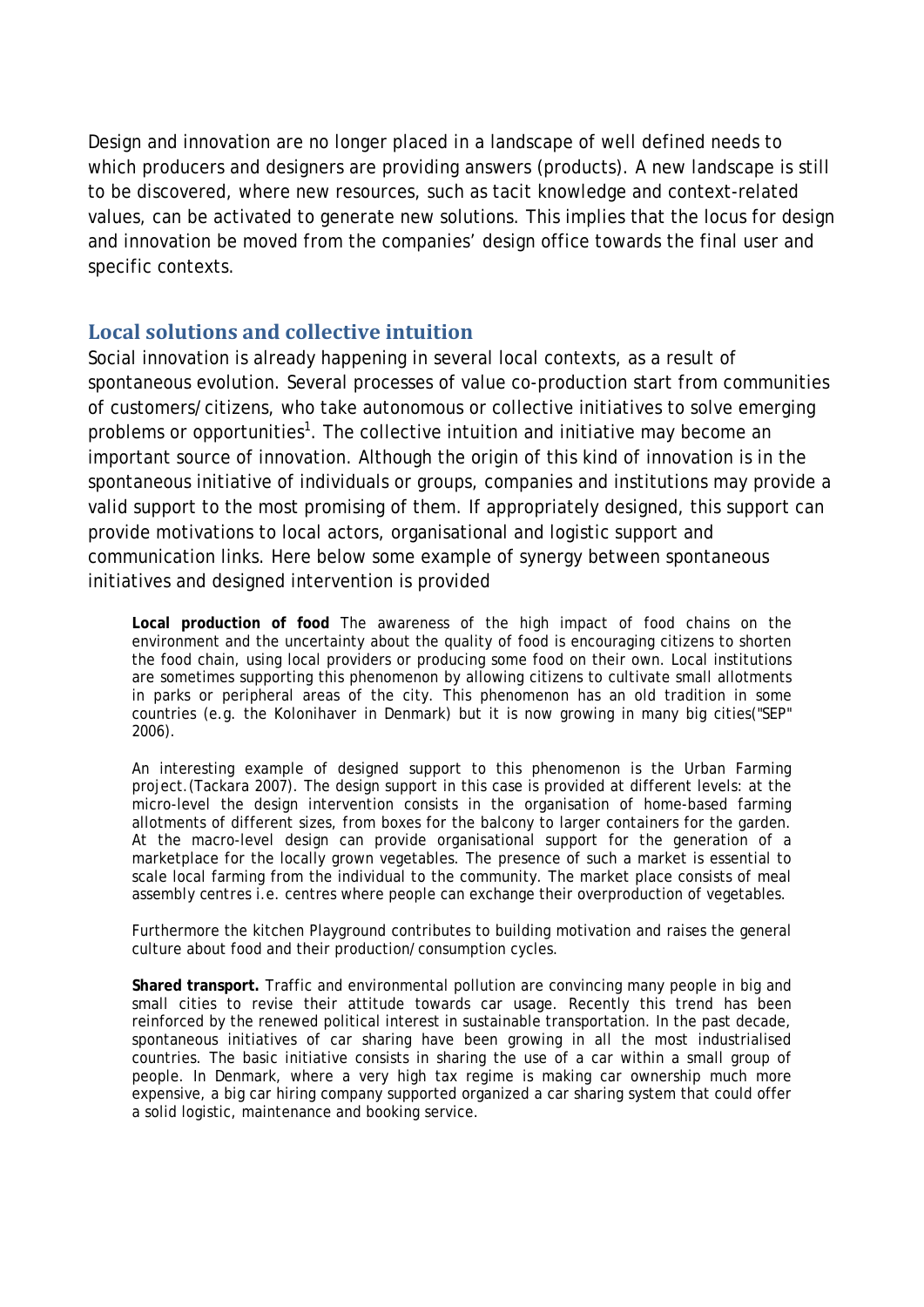Design and innovation are no longer placed in a landscape of well defined needs to which producers and designers are providing answers (products). A new landscape is still to be discovered, where new resources, such as tacit knowledge and context-related values, can be activated to generate new solutions. This implies that the locus for design and innovation be moved from the companies' design office towards the final user and specific contexts.

#### **Local solutions and collective intuition**

Social innovation is already happening in several local contexts, as a result of spontaneous evolution. Several processes of value co-production start from communities of customers/citizens, who take autonomous or collective initiatives to solve emerging problems or opportunities<sup>1</sup>. The collective intuition and initiative may become an important source of innovation. Although the origin of this kind of innovation is in the spontaneous initiative of individuals or groups, companies and institutions may provide a valid support to the most promising of them. If appropriately designed, this support can provide motivations to local actors, organisational and logistic support and communication links. Here below some example of synergy between spontaneous initiatives and designed intervention is provided

**Local production of food** The awareness of the high impact of food chains on the environment and the uncertainty about the quality of food is encouraging citizens to shorten the food chain, using local providers or producing some food on their own. Local institutions are sometimes supporting this phenomenon by allowing citizens to cultivate small allotments in parks or peripheral areas of the city. This phenomenon has an old tradition in some countries (e.g. the *Kolonihaver* in Denmark) but it is now growing in many big cities("SEP" 2006).

An interesting example of designed support to this phenomenon is the Urban Farming project.(Tackara 2007). The design support in this case is provided at different levels: at the micro-level the design intervention consists in the organisation of home-based farming allotments of different sizes, from boxes for the balcony to larger containers for the garden. At the macro-level design can provide organisational support for the generation of a marketplace for the locally grown vegetables. The presence of such a market is essential to scale local farming from the individual to the community. The market place consists of *meal assembly centres* i.e. centres where people can exchange their overproduction of vegetables.

Furthermore the kitchen Playground contributes to building motivation and raises the general culture about food and their production/consumption cycles.

**Shared transport.** Traffic and environmental pollution are convincing many people in big and small cities to revise their attitude towards car usage. Recently this trend has been reinforced by the renewed political interest in sustainable transportation. In the past decade, spontaneous initiatives of car sharing have been growing in all the most industrialised countries. The basic initiative consists in sharing the use of a car within a small group of people. In Denmark, where a very high tax regime is making car ownership much more expensive, a big car hiring company supported organized a car sharing system that could offer a solid logistic, maintenance and booking service.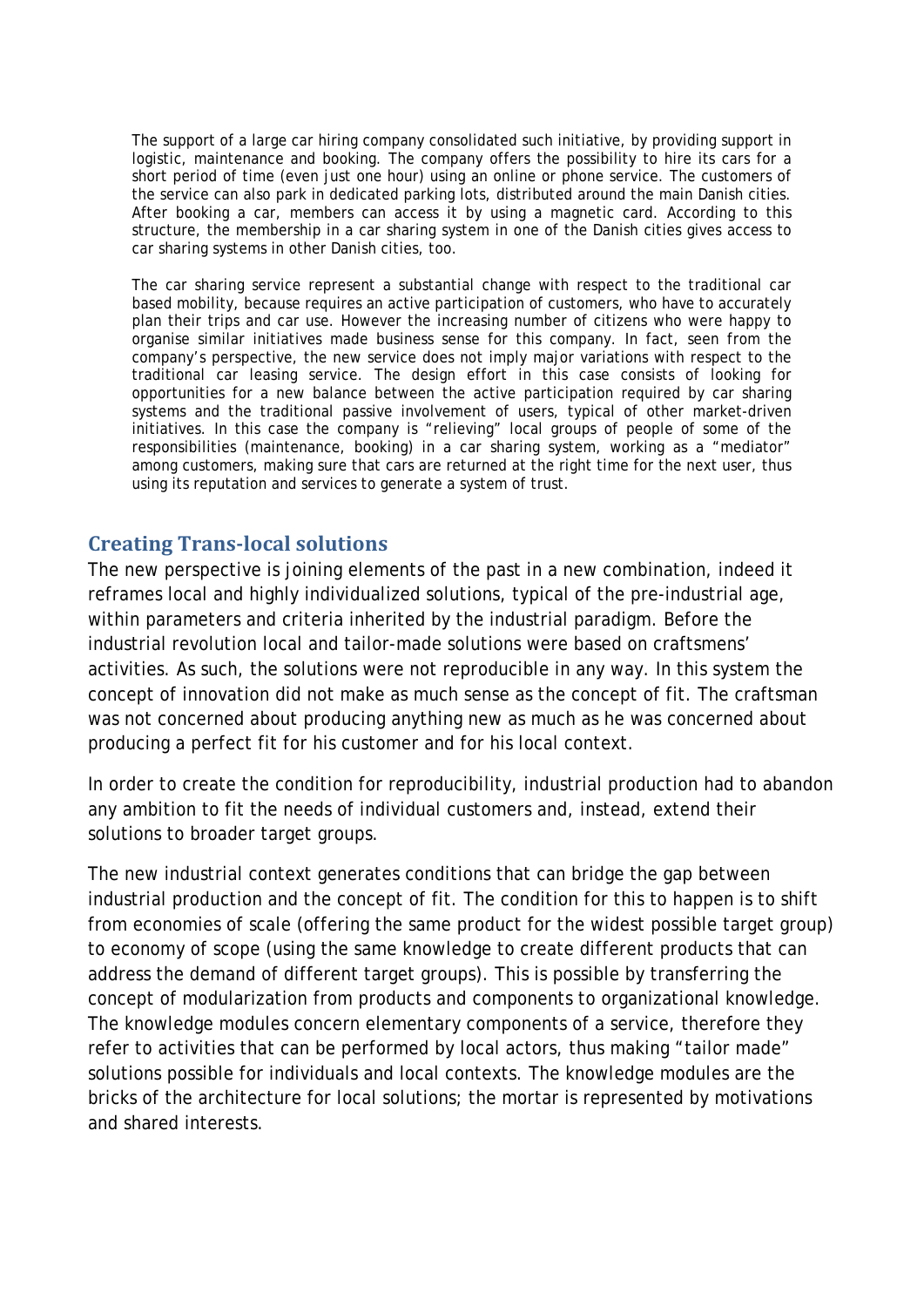The support of a large car hiring company consolidated such initiative, by providing support in logistic, maintenance and booking. The company offers the possibility to hire its cars for a short period of time (even just one hour) using an online or phone service. The customers of the service can also park in dedicated parking lots, distributed around the main Danish cities. After booking a car, members can access it by using a magnetic card. According to this structure, the membership in a car sharing system in one of the Danish cities gives access to car sharing systems in other Danish cities, too.

The car sharing service represent a substantial change with respect to the traditional car based mobility, because requires an active participation of customers, who have to accurately plan their trips and car use. However the increasing number of citizens who were happy to organise similar initiatives made business sense for this company. In fact, seen from the company's perspective, the new service does not imply major variations with respect to the traditional car leasing service. The design effort in this case consists of looking for opportunities for a new balance between the active participation required by car sharing systems and the traditional passive involvement of users, typical of other market-driven initiatives. In this case the company is "relieving" local groups of people of some of the responsibilities (maintenance, booking) in a car sharing system, working as a "mediator" among customers, making sure that cars are returned at the right time for the next user, thus using its reputation and services to generate a system of trust.

#### **Creating Translocal solutions**

The new perspective is joining elements of the past in a new combination, indeed it reframes local and highly individualized solutions, typical of the pre-industrial age, within parameters and criteria inherited by the industrial paradigm. Before the industrial revolution local and tailor-made solutions were based on craftsmens' activities. As such, the solutions were not reproducible in any way. In this system the concept of innovation did not make as much sense as the concept of fit. The craftsman was not concerned about producing anything new as much as he was concerned about producing a perfect fit for his customer and for his local context.

In order to create the condition for reproducibility, industrial production had to abandon any ambition to fit the needs of individual customers and, instead, extend their solutions to broader target groups.

The new industrial context generates conditions that can bridge the gap between industrial production and the concept of fit. The condition for this to happen is to shift from economies of scale (offering the same product for the widest possible target group) to economy of scope (using the same knowledge to create different products that can address the demand of different target groups). This is possible by transferring the concept of modularization from products and components to organizational knowledge. The knowledge modules concern elementary components of a service, therefore they refer to activities that can be performed by local actors, thus making "tailor made" solutions possible for individuals and local contexts. The knowledge modules are the bricks of the architecture for local solutions; the mortar is represented by motivations and shared interests.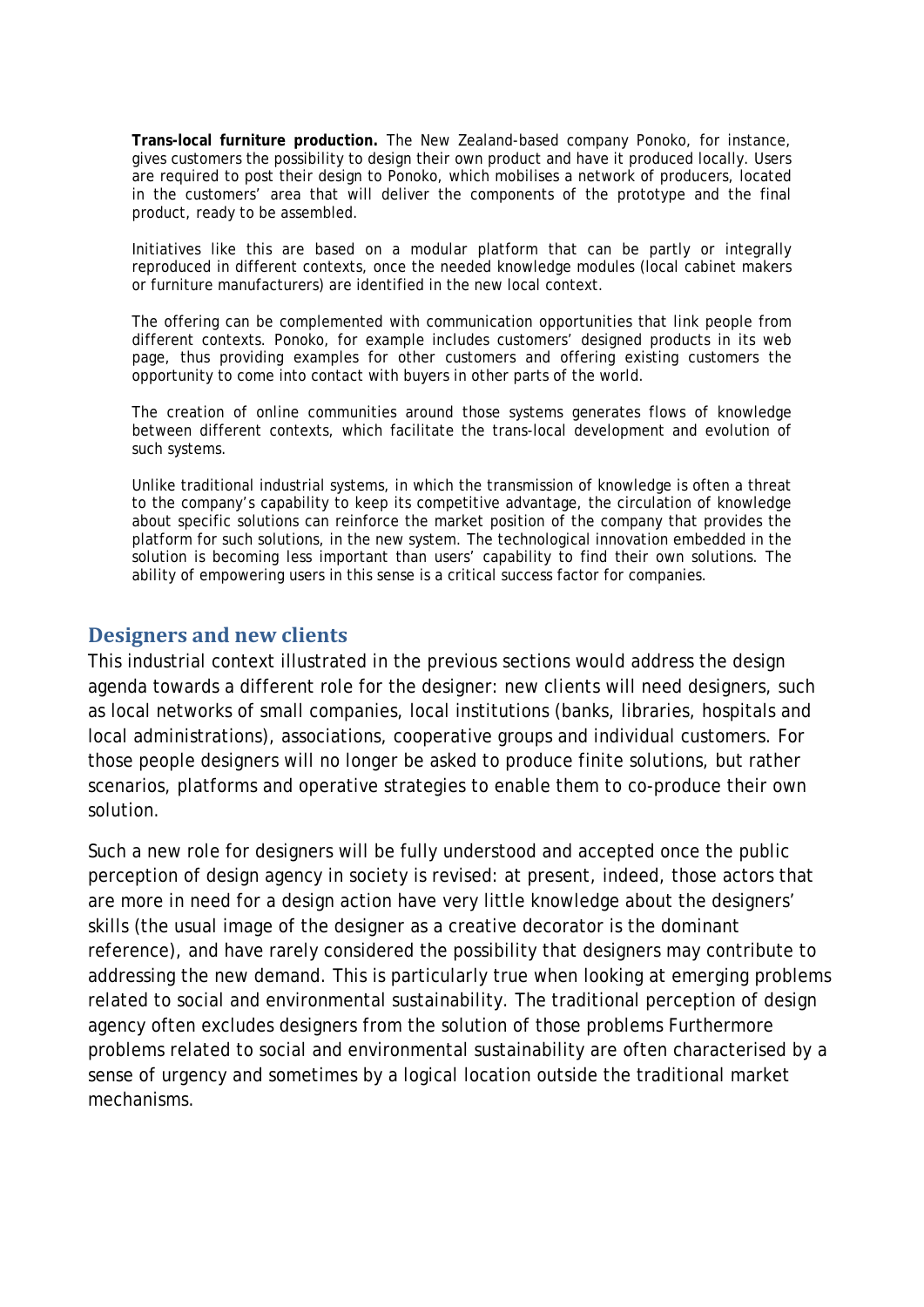**Trans-local furniture production.** The New Zealand-based company Ponoko, for instance, gives customers the possibility to design their own product and have it produced locally. Users are required to post their design to Ponoko, which mobilises a network of producers, located in the customers' area that will deliver the components of the prototype and the final product, ready to be assembled.

Initiatives like this are based on a modular platform that can be partly or integrally reproduced in different contexts, once the needed knowledge modules (local cabinet makers or furniture manufacturers) are identified in the new local context.

The offering can be complemented with communication opportunities that link people from different contexts. Ponoko, for example includes customers' designed products in its web page, thus providing examples for other customers and offering existing customers the opportunity to come into contact with buyers in other parts of the world.

The creation of online communities around those systems generates flows of knowledge between different contexts, which facilitate the trans-local development and evolution of such systems.

Unlike traditional industrial systems, in which the transmission of knowledge is often a threat to the company's capability to keep its competitive advantage, the circulation of knowledge about specific solutions can reinforce the market position of the company that provides the platform for such solutions, in the new system. The technological innovation embedded in the solution is becoming less important than users' capability to find their own solutions. The ability of empowering users in this sense is a critical success factor for companies.

#### **Designers and new clients**

This industrial context illustrated in the previous sections would address the design agenda towards a different role for the designer: new *clients* will need designers, such as local networks of small companies, local institutions (banks, libraries, hospitals and local administrations), associations, cooperative groups and individual customers. For those people designers will no longer be asked to produce finite solutions, but rather scenarios, platforms and operative strategies to enable them to co-produce their own solution.

Such a new role for designers will be fully understood and accepted once the public perception of design agency in society is revised: at present, indeed, those actors that are more in need for a design action have very little knowledge about the designers' skills (the usual image of the designer as a creative decorator is the dominant reference), and have rarely considered the possibility that designers may contribute to addressing the new demand. This is particularly true when looking at emerging problems related to social and environmental sustainability. The traditional perception of design agency often excludes designers from the solution of those problems Furthermore problems related to social and environmental sustainability are often characterised by a sense of urgency and sometimes by a logical location outside the traditional market mechanisms.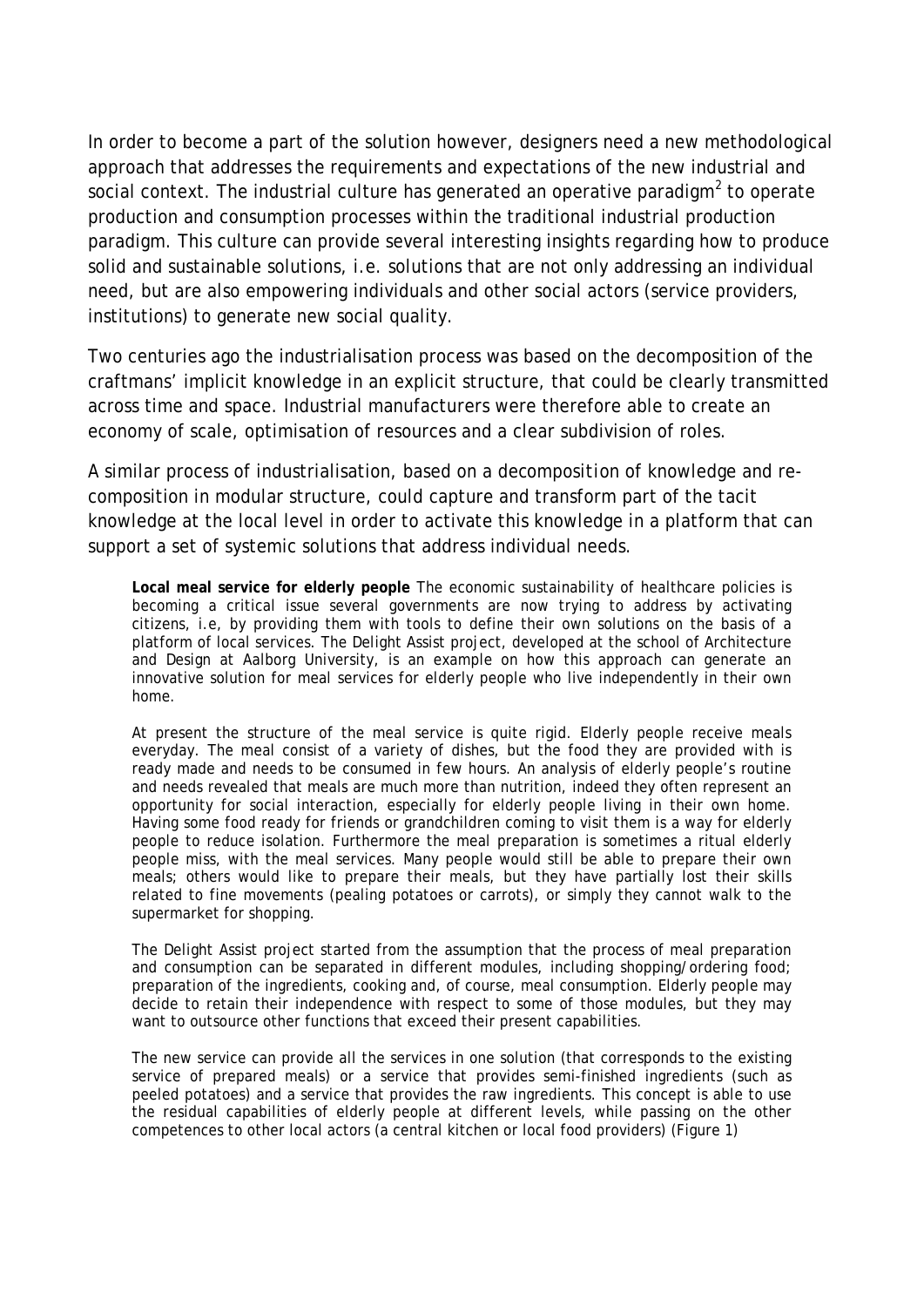In order to become a part of the solution however, designers need a new methodological approach that addresses the requirements and expectations of the new industrial and social context. The industrial culture has generated an operative paradigm<sup>2</sup> to operate production and consumption processes within the traditional industrial production paradigm. This culture can provide several interesting insights regarding how to produce solid and sustainable solutions, i.e. solutions that are not only addressing an individual need, but are also empowering individuals and other social actors (service providers, institutions) to generate new social quality.

Two centuries ago the industrialisation process was based on the decomposition of the craftmans' implicit knowledge in an explicit structure, that could be clearly transmitted across time and space. Industrial manufacturers were therefore able to create an economy of scale, optimisation of resources and a clear subdivision of roles.

A similar process of industrialisation, based on a *decomposition* of knowledge and recomposition in modular structure, could capture and transform part of the tacit knowledge at the local level in order to activate this knowledge in a platform that can support a set of systemic solutions that address individual needs.

**Local meal service for elderly people** The economic sustainability of healthcare policies is becoming a critical issue several governments are now trying to address by activating citizens, i.e, by providing them with tools to define their own solutions on the basis of a platform of local services. The Delight Assist project, developed at the school of Architecture and Design at Aalborg University, is an example on how this approach can generate an innovative solution for meal services for elderly people who live independently in their own home.

At present the structure of the meal service is quite rigid. Elderly people receive meals everyday. The meal consist of a variety of dishes, but the food they are provided with is ready made and needs to be consumed in few hours. An analysis of elderly people's routine and needs revealed that meals are much more than nutrition, indeed they often represent an opportunity for social interaction, especially for elderly people living in their own home. Having some food ready for friends or grandchildren coming to visit them is a way for elderly people to reduce isolation. Furthermore the meal preparation is sometimes a ritual elderly people miss, with the meal services. Many people would still be able to prepare their own meals; others would like to prepare their meals, but they have partially lost their skills related to fine movements (pealing potatoes or carrots), or simply they cannot walk to the supermarket for shopping.

The Delight Assist project started from the assumption that the process of meal preparation and consumption can be separated in different modules, including shopping/ordering food; preparation of the ingredients, cooking and, of course, meal consumption. Elderly people may decide to retain their independence with respect to some of those modules, but they may want to outsource other functions that exceed their present capabilities.

The new service can provide all the services in one solution (that corresponds to the existing service of prepared meals) or a service that provides semi-finished ingredients (such as peeled potatoes) and a service that provides the raw ingredients. This concept is able to use the residual capabilities of elderly people at different levels, while passing on the other competences to other local actors (a central kitchen or local food providers) (Figure 1)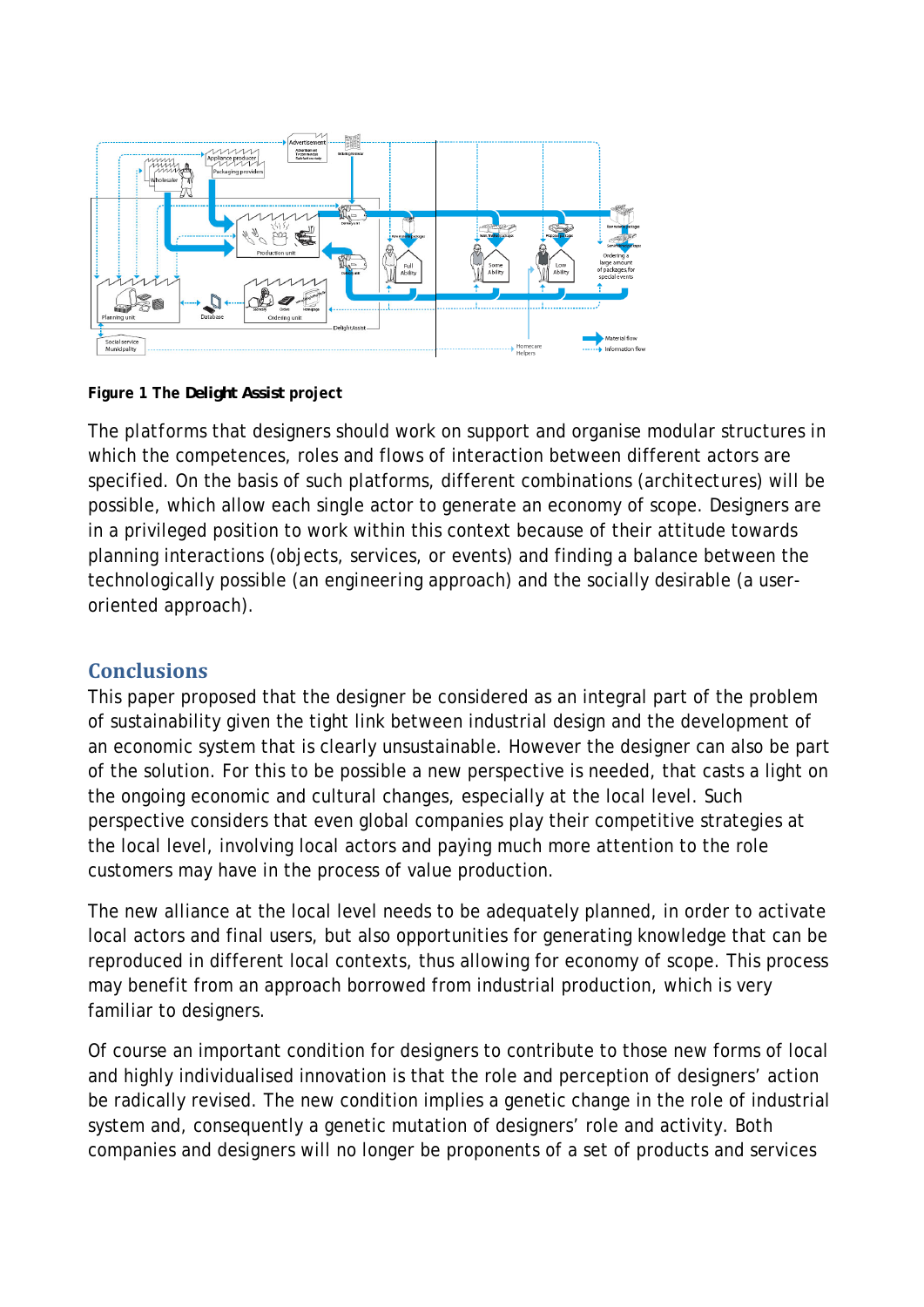

**Figure 1 The** *Delight Assist* **project** 

The *platforms* that designers should work on support and organise modular structures in which the competences, roles and flows of interaction between different actors are specified. On the basis of such platforms, different combinations (*architectures*) will be possible, which allow each single actor to generate an economy of scope. Designers are in a privileged position to work within this context because of their attitude towards planning interactions (objects, services, or events) and finding a balance between the technologically possible (an *engineering* approach) and the socially desirable (a useroriented approach).

# **Conclusions**

This paper proposed that the designer be considered as an integral part of the problem of sustainability given the tight link between industrial design and the development of an economic system that is clearly unsustainable. However the designer can also be part of the solution. For this to be possible a new perspective is needed, that casts a light on the ongoing economic and cultural changes, especially at the local level. Such perspective considers that even global companies play their competitive strategies at the local level, involving local actors and paying much more attention to the role customers may have in the process of value production.

The new alliance at the local level needs to be adequately planned, in order to activate local actors and final users, but also opportunities for generating knowledge that can be reproduced in different local contexts, thus allowing for economy of scope. This process may benefit from an approach borrowed from industrial production, which is very familiar to designers.

Of course an important condition for designers to contribute to those new forms of local and highly individualised innovation is that the role and perception of designers' action be radically revised. The new condition implies a genetic change in the role of industrial system and, consequently a genetic mutation of designers' role and activity. Both companies and designers will no longer be proponents of a set of products and services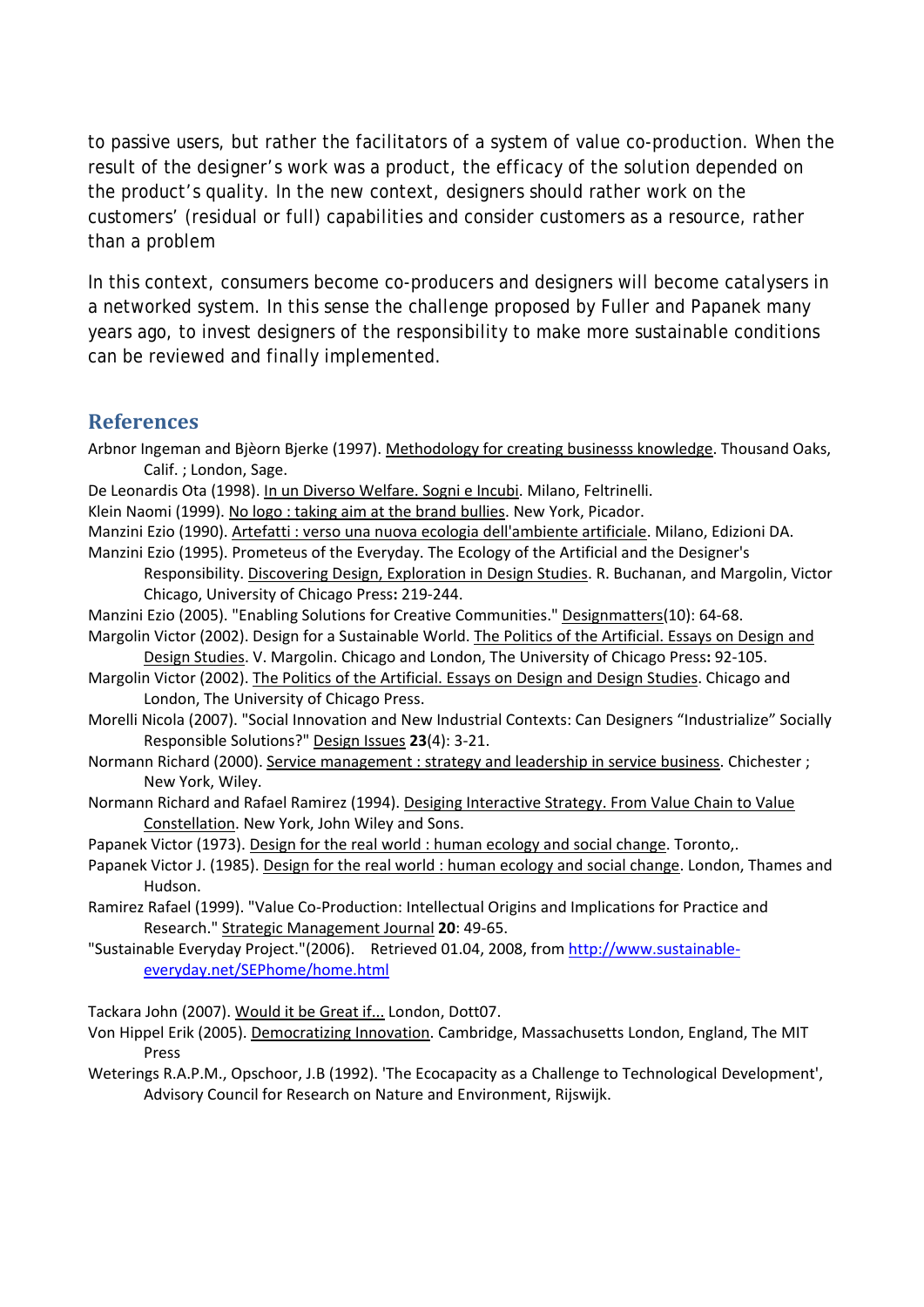to passive users, but rather the facilitators of a system of value co-production. When the result of the designer's work was a product, the efficacy of the solution depended on the product's quality. In the new context, designers should rather work on the customers' (residual or full) capabilities and consider customers as a resource, rather than a problem

In this context, consumers become co-producers and designers will become catalysers in a networked system. In this sense the challenge proposed by Fuller and Papanek many years ago, to invest designers of the responsibility to make more sustainable conditions can be reviewed and finally implemented.

#### **References**

- Arbnor Ingeman and Bjèorn Bjerke (1997). Methodology for creating businesss knowledge. Thousand Oaks, Calif. ; London, Sage.
- De Leonardis Ota (1998). In un Diverso Welfare. Sogni e Incubi. Milano, Feltrinelli.
- Klein Naomi (1999). No logo : taking aim at the brand bullies. New York, Picador.
- Manzini Ezio (1990). Artefatti : verso una nuova ecologia dell'ambiente artificiale. Milano, Edizioni DA.
- Manzini Ezio (1995). Prometeus of the Everyday. The Ecology of the Artificial and the Designer's Responsibility. Discovering Design, Exploration in Design Studies. R. Buchanan, and Margolin, Victor
	- Chicago, University of Chicago Press**:** 219‐244.
- Manzini Ezio (2005). "Enabling Solutions for Creative Communities." Designmatters(10): 64-68.
- Margolin Victor (2002). Design for a Sustainable World. The Politics of the Artificial. Essays on Design and Design Studies. V. Margolin. Chicago and London, The University of Chicago Press**:** 92‐105.
- Margolin Victor (2002). The Politics of the Artificial. Essays on Design and Design Studies. Chicago and London, The University of Chicago Press.
- Morelli Nicola (2007). "Social Innovation and New Industrial Contexts: Can Designers "Industrialize" Socially Responsible Solutions?" Design Issues **23**(4): 3‐21.
- Normann Richard (2000). Service management : strategy and leadership in service business. Chichester ; New York, Wiley.
- Normann Richard and Rafael Ramirez (1994). Desiging Interactive Strategy. From Value Chain to Value Constellation. New York, John Wiley and Sons.
- Papanek Victor (1973). Design for the real world : human ecology and social change. Toronto,.
- Papanek Victor J. (1985). Design for the real world : human ecology and social change. London, Thames and Hudson.
- Ramirez Rafael (1999). "Value Co‐Production: Intellectual Origins and Implications for Practice and Research." Strategic Management Journal **20**: 49‐65.
- "Sustainable Everyday Project."(2006). Retrieved 01.04, 2008, from http://www.sustainable‐ everyday.net/SEPhome/home.html

Tackara John (2007). Would it be Great if... London, Dott07.

- Von Hippel Erik (2005). Democratizing Innovation. Cambridge, Massachusetts London, England, The MIT Press
- Weterings R.A.P.M., Opschoor, J.B (1992). 'The Ecocapacity as a Challenge to Technological Development', Advisory Council for Research on Nature and Environment, Rijswijk.